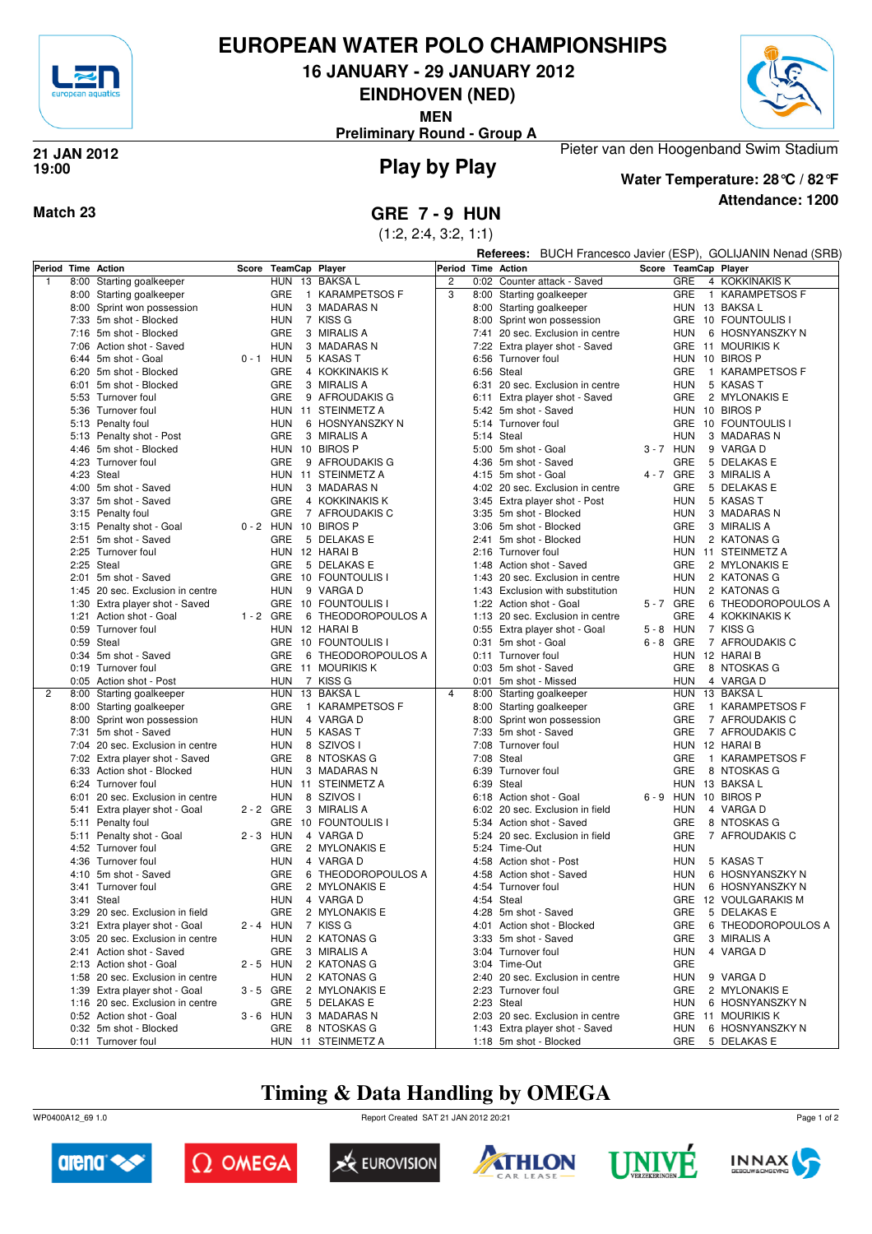

## **EUROPEAN WATER POLO CHAMPIONSHIPS**

**16 JANUARY - 29 JANUARY 2012**

**EINDHOVEN (NED)**

**MEN**

**Preliminary Round - Group A**



### **Play by Play 21 JAN 2012 19:00**



## **Attendance: 1200 Water Temperature: 28°C / 82°F**

Pieter van den Hoogenband Swim Stadium

**Match 23 GRE 7 - 9 HUN**

(1:2, 2:4, 3:2, 1:1)

**Referees:** BUCH Francesco Javier (ESP), GOLIJANIN Nenad (SRB)

| 8:00 Starting goalkeeper<br>HUN 13 BAKSA L<br>$\overline{c}$<br>GRE<br>0:02 Counter attack - Saved<br>4 KOKKINAKIS K<br>$\mathbf{1}$<br>3<br><b>GRE</b><br>1 KARAMPETSOS F<br>GRE<br>8:00 Starting goalkeeper<br>8:00 Starting goalkeeper<br>1 KARAMPETSOS F<br>8:00 Sprint won possession<br><b>HUN</b><br>HUN 13 BAKSA L<br>3 MADARAS N<br>8:00 Starting goalkeeper<br>7:33 5m shot - Blocked<br><b>HUN</b><br>7 KISS G<br>8:00 Sprint won possession<br>GRE 10 FOUNTOULIS I<br>7:16 5m shot - Blocked<br>GRE<br>3 MIRALIS A<br>7:41 20 sec. Exclusion in centre<br>6 HOSNYANSZKY N<br>HUN<br>7:06 Action shot - Saved<br><b>HUN</b><br>3 MADARAS N<br>Extra player shot - Saved<br>GRE 11 MOURIKIS K<br>7:22<br>$0 - 1$ HUN<br>5 KASAS T<br>HUN 10 BIROS P<br>6:44 5m shot - Goal<br>6:56 Turnover foul<br>GRE<br>4 KOKKINAKIS K<br>6:56 Steal<br>GRE<br>1 KARAMPETSOS F<br>6:20 5m shot - Blocked<br><b>GRE</b><br>3 MIRALIS A<br><b>HUN</b><br>5 KASAS T<br>6:01<br>5m shot - Blocked<br>6:31 20 sec. Exclusion in centre<br>GRE<br>9 AFROUDAKIS G<br><b>GRE</b><br>2 MYLONAKIS E<br>5:53 Turnover foul<br>6:11 Extra player shot - Saved<br>5:36 Turnover foul<br>HUN 11 STEINMETZ A<br>5:42 5m shot - Saved<br>HUN 10 BIROS P<br><b>HUN</b><br>6 HOSNYANSZKY N<br>5:14 Turnover foul<br>GRE 10 FOUNTOULIS I<br>5:13 Penalty foul<br>GRE<br>3 MIRALIS A<br>5:14 Steal<br><b>HUN</b><br>3 MADARAS N<br>5:13 Penalty shot - Post<br>4:46 5m shot - Blocked<br>HUN 10 BIROS P<br>3-7 HUN<br>9 VARGA D<br>5:00 5m shot - Goal<br>4:23 Turnover foul<br>GRE<br>9 AFROUDAKIS G<br>4:36 5m shot - Saved<br>GRE<br>5 DELAKAS E<br>4 - 7 GRE<br>4:23 Steal<br>HUN 11 STEINMETZ A<br>3 MIRALIS A<br>4:15 5m shot - Goal<br>GRE<br>4:00 5m shot - Saved<br><b>HUN</b><br>3 MADARAS N<br>4:02 20 sec. Exclusion in centre<br>5 DELAKAS E<br>3:37 5m shot - Saved<br>GRE<br>4 KOKKINAKIS K<br>3:45 Extra player shot - Post<br><b>HUN</b><br>5 KASAS T<br>3:15 Penalty foul<br>GRE<br>7 AFROUDAKIS C<br>3 MADARAS N<br>3:35 5m shot - Blocked<br>HUN<br>3:15 Penalty shot - Goal<br>0-2 HUN 10 BIROS P<br>GRE<br>3 MIRALIS A<br>3:06 5m shot - Blocked<br>2:51 5m shot - Saved<br>GRE<br>5 DELAKAS E<br>2 KATONAS G<br>2:41 5m shot - Blocked<br>HUN<br>2:25 Turnover foul<br>HUN 12 HARAI B<br>HUN 11 STEINMETZ A<br>2:16 Turnover foul<br>2:25 Steal<br>GRE<br>5 DELAKAS E<br>GRE<br>2 MYLONAKIS E<br>1:48 Action shot - Saved<br>GRE 10 FOUNTOULIS I<br>5m shot - Saved<br>1:43 20 sec. Exclusion in centre<br><b>HUN</b><br>2 KATONAS G<br>2:01<br>1:45 20 sec. Exclusion in centre<br><b>HUN</b><br>9 VARGA D<br><b>HUN</b><br>2 KATONAS G<br>1:43 Exclusion with substitution<br>GRE 10 FOUNTOULIS I<br>1:22 Action shot - Goal<br>5-7 GRE<br>6 THEODOROPOULOS A<br>1:30 Extra player shot - Saved<br>1:21 Action shot - Goal<br>$1 - 2$ GRE<br>6 THEODOROPOULOS A<br>GRE<br>4 KOKKINAKIS K<br>1:13 20 sec. Exclusion in centre<br>0:59 Turnover foul<br>HUN 12 HARAI B<br>$5 - 8$ HUN<br>7 KISS G<br>0:55 Extra player shot - Goal<br>0:59 Steal<br>GRE 10 FOUNTOULIS I<br>0:31 5m shot - Goal<br>$6 - 8$ GRE<br>7 AFROUDAKIS C<br>0:34 5m shot - Saved<br>GRE<br>6 THEODOROPOULOS A<br>0:11 Turnover foul<br>HUN 12 HARAIB<br>GRE 11 MOURIKIS K<br><b>GRE</b><br>0:19 Turnover foul<br>0:03 5m shot - Saved<br>8 NTOSKAS G<br><b>HUN</b><br>7 KISS G<br>4 VARGA D<br>0:05 Action shot - Post<br>0:01 5m shot - Missed<br>HUN<br>HUN 13 BAKSA L<br>$\overline{4}$<br>HUN<br>13 BAKSA L<br>2<br>8:00<br>Starting goalkeeper<br>8:00 Starting goalkeeper<br>GRE<br>1 KARAMPETSOS F<br>8:00 Starting goalkeeper<br>GRE<br>1 KARAMPETSOS F<br>8:00 Starting goalkeeper<br>8:00 Sprint won possession<br><b>HUN</b><br>4 VARGA D<br>Sprint won possession<br>GRE<br>7 AFROUDAKIS C<br>8:00<br>7:31 5m shot - Saved<br><b>HUN</b><br>7:33 5m shot - Saved<br><b>GRE</b><br>5 KASAS T<br>7 AFROUDAKIS C<br>7:04 20 sec. Exclusion in centre<br><b>HUN</b><br>8 SZIVOS I<br>7:08 Turnover foul<br>HUN 12 HARAIB<br><b>GRE</b><br><b>GRE</b><br>8 NTOSKAS G<br>7:08 Steal<br>1 KARAMPETSOS F<br>7:02 Extra player shot - Saved<br>6:33 Action shot - Blocked<br><b>HUN</b><br>3 MADARAS N<br>6:39 Turnover foul<br>GRE<br>8 NTOSKAS G<br>6:24 Turnover foul<br>HUN 11 STEINMETZ A<br>6:39 Steal<br>HUN 13 BAKSA L<br>6:01 20 sec. Exclusion in centre<br><b>HUN</b><br>8 SZIVOS I<br>6:18 Action shot - Goal<br>6-9 HUN 10 BIROS P<br>2 - 2 GRE<br>3 MIRALIS A<br>6:02 20 sec. Exclusion in field<br><b>HUN</b><br>5:41 Extra player shot - Goal<br>4 VARGA D<br>5:11 Penalty foul<br>GRE 10 FOUNTOULIS I<br>5:34 Action shot - Saved<br>GRE<br>8 NTOSKAS G<br>5:11 Penalty shot - Goal<br>$2 - 3$ HUN<br>4 VARGA D<br>5:24 20 sec. Exclusion in field<br>GRE<br>7 AFROUDAKIS C<br>GRE<br>4:52 Turnover foul<br>2 MYLONAKIS E<br>5:24 Time-Out<br><b>HUN</b><br><b>HUN</b><br>4 VARGA D<br>5 KASAS T<br>4:36 Turnover foul<br>4:58 Action shot - Post<br>HUN<br>4:10 5m shot - Saved<br>GRE<br>6 THEODOROPOULOS A<br>4:58 Action shot - Saved<br><b>HUN</b><br>6 HOSNYANSZKY N<br>GRE<br>2 MYLONAKIS E<br>6 HOSNYANSZKY N<br>3:41 Turnover foul<br>4:54 Turnover foul<br>HUN<br>3:41 Steal<br>4 VARGA D<br>4:54 Steal<br>GRE 12 VOULGARAKIS M<br>HUN<br><b>GRE</b><br>5 DELAKAS E<br>3:29 20 sec. Exclusion in field<br>2 MYLONAKIS E<br>4:28 5m shot - Saved<br>GRE<br>3:21 Extra player shot - Goal<br>2 - 4 HUN<br>7 KISS G<br>4:01 Action shot - Blocked<br><b>GRE</b><br>6 THEODOROPOULOS A<br>3:05 20 sec. Exclusion in centre<br>2 KATONAS G<br>GRE<br>3 MIRALIS A<br><b>HUN</b><br>3:33 5m shot - Saved<br>2:41 Action shot - Saved<br>GRE<br>3 MIRALIS A<br>3:04 Turnover foul<br><b>HUN</b><br>4 VARGA D<br>2 KATONAS G<br>GRE<br>2:13 Action shot - Goal<br>$2 - 5$ HUN<br>3:04 Time-Out<br>1:58 20 sec. Exclusion in centre<br><b>HUN</b><br>2 KATONAS G<br>2:40 20 sec. Exclusion in centre<br><b>HUN</b><br>9 VARGA D<br>1:39 Extra player shot - Goal<br>$3 - 5$ GRE<br>2 MYLONAKIS E<br>2:23 Turnover foul<br><b>GRE</b><br>2 MYLONAKIS E<br>1:16 20 sec. Exclusion in centre<br>GRE<br>5 DELAKAS E<br>2:23 Steal<br><b>HUN</b><br>6 HOSNYANSZKY N<br>0:52 Action shot - Goal<br>$3 - 6$ HUN<br>3 MADARAS N<br>2:03 20 sec. Exclusion in centre<br>GRE 11 MOURIKIS K<br>0:32 5m shot - Blocked<br>GRE<br>8 NTOSKAS G<br>1:43 Extra player shot - Saved<br><b>HUN</b><br>6 HOSNYANSZKY N<br>0:11 Turnover foul<br>HUN 11 STEINMETZ A<br>1:18 5m shot - Blocked<br>GRE<br>5 DELAKAS E | Period Time | Action | Score | TeamCap Player |  | lPeriod | <b>Time Action</b> |  | Score TeamCap Player |
|--------------------------------------------------------------------------------------------------------------------------------------------------------------------------------------------------------------------------------------------------------------------------------------------------------------------------------------------------------------------------------------------------------------------------------------------------------------------------------------------------------------------------------------------------------------------------------------------------------------------------------------------------------------------------------------------------------------------------------------------------------------------------------------------------------------------------------------------------------------------------------------------------------------------------------------------------------------------------------------------------------------------------------------------------------------------------------------------------------------------------------------------------------------------------------------------------------------------------------------------------------------------------------------------------------------------------------------------------------------------------------------------------------------------------------------------------------------------------------------------------------------------------------------------------------------------------------------------------------------------------------------------------------------------------------------------------------------------------------------------------------------------------------------------------------------------------------------------------------------------------------------------------------------------------------------------------------------------------------------------------------------------------------------------------------------------------------------------------------------------------------------------------------------------------------------------------------------------------------------------------------------------------------------------------------------------------------------------------------------------------------------------------------------------------------------------------------------------------------------------------------------------------------------------------------------------------------------------------------------------------------------------------------------------------------------------------------------------------------------------------------------------------------------------------------------------------------------------------------------------------------------------------------------------------------------------------------------------------------------------------------------------------------------------------------------------------------------------------------------------------------------------------------------------------------------------------------------------------------------------------------------------------------------------------------------------------------------------------------------------------------------------------------------------------------------------------------------------------------------------------------------------------------------------------------------------------------------------------------------------------------------------------------------------------------------------------------------------------------------------------------------------------------------------------------------------------------------------------------------------------------------------------------------------------------------------------------------------------------------------------------------------------------------------------------------------------------------------------------------------------------------------------------------------------------------------------------------------------------------------------------------------------------------------------------------------------------------------------------------------------------------------------------------------------------------------------------------------------------------------------------------------------------------------------------------------------------------------------------------------------------------------------------------------------------------------------------------------------------------------------------------------------------------------------------------------------------------------------------------------------------------------------------------------------------------------------------------------------------------------------------------------------------------------------------------------------------------------------------------------------------------------------------------------------------------------------------------------------------------------------------------------------------------------------------------------------------------------------------------------------------------------------------------------------------------------------------------------------------------------------------------------------------------------------------------------------------------------------------------------------------------------------------------------------------------------------------------------------------------------------------------------------------------------------------------------------------------------------------------------------------------------------------------------------------------------------------------------------------------------------------------------------------------------------------------------------------------------------------------------------------------------------------------------------------------------------------------------------------------------------------------------------------------------------------------------------------------------------------------------------------------------------------------------------------------------------------------------------------------------|-------------|--------|-------|----------------|--|---------|--------------------|--|----------------------|
|                                                                                                                                                                                                                                                                                                                                                                                                                                                                                                                                                                                                                                                                                                                                                                                                                                                                                                                                                                                                                                                                                                                                                                                                                                                                                                                                                                                                                                                                                                                                                                                                                                                                                                                                                                                                                                                                                                                                                                                                                                                                                                                                                                                                                                                                                                                                                                                                                                                                                                                                                                                                                                                                                                                                                                                                                                                                                                                                                                                                                                                                                                                                                                                                                                                                                                                                                                                                                                                                                                                                                                                                                                                                                                                                                                                                                                                                                                                                                                                                                                                                                                                                                                                                                                                                                                                                                                                                                                                                                                                                                                                                                                                                                                                                                                                                                                                                                                                                                                                                                                                                                                                                                                                                                                                                                                                                                                                                                                                                                                                                                                                                                                                                                                                                                                                                                                                                                                                                                                                                                                                                                                                                                                                                                                                                                                                                                                                                                                                                                            |             |        |       |                |  |         |                    |  |                      |
|                                                                                                                                                                                                                                                                                                                                                                                                                                                                                                                                                                                                                                                                                                                                                                                                                                                                                                                                                                                                                                                                                                                                                                                                                                                                                                                                                                                                                                                                                                                                                                                                                                                                                                                                                                                                                                                                                                                                                                                                                                                                                                                                                                                                                                                                                                                                                                                                                                                                                                                                                                                                                                                                                                                                                                                                                                                                                                                                                                                                                                                                                                                                                                                                                                                                                                                                                                                                                                                                                                                                                                                                                                                                                                                                                                                                                                                                                                                                                                                                                                                                                                                                                                                                                                                                                                                                                                                                                                                                                                                                                                                                                                                                                                                                                                                                                                                                                                                                                                                                                                                                                                                                                                                                                                                                                                                                                                                                                                                                                                                                                                                                                                                                                                                                                                                                                                                                                                                                                                                                                                                                                                                                                                                                                                                                                                                                                                                                                                                                                            |             |        |       |                |  |         |                    |  |                      |
|                                                                                                                                                                                                                                                                                                                                                                                                                                                                                                                                                                                                                                                                                                                                                                                                                                                                                                                                                                                                                                                                                                                                                                                                                                                                                                                                                                                                                                                                                                                                                                                                                                                                                                                                                                                                                                                                                                                                                                                                                                                                                                                                                                                                                                                                                                                                                                                                                                                                                                                                                                                                                                                                                                                                                                                                                                                                                                                                                                                                                                                                                                                                                                                                                                                                                                                                                                                                                                                                                                                                                                                                                                                                                                                                                                                                                                                                                                                                                                                                                                                                                                                                                                                                                                                                                                                                                                                                                                                                                                                                                                                                                                                                                                                                                                                                                                                                                                                                                                                                                                                                                                                                                                                                                                                                                                                                                                                                                                                                                                                                                                                                                                                                                                                                                                                                                                                                                                                                                                                                                                                                                                                                                                                                                                                                                                                                                                                                                                                                                            |             |        |       |                |  |         |                    |  |                      |
|                                                                                                                                                                                                                                                                                                                                                                                                                                                                                                                                                                                                                                                                                                                                                                                                                                                                                                                                                                                                                                                                                                                                                                                                                                                                                                                                                                                                                                                                                                                                                                                                                                                                                                                                                                                                                                                                                                                                                                                                                                                                                                                                                                                                                                                                                                                                                                                                                                                                                                                                                                                                                                                                                                                                                                                                                                                                                                                                                                                                                                                                                                                                                                                                                                                                                                                                                                                                                                                                                                                                                                                                                                                                                                                                                                                                                                                                                                                                                                                                                                                                                                                                                                                                                                                                                                                                                                                                                                                                                                                                                                                                                                                                                                                                                                                                                                                                                                                                                                                                                                                                                                                                                                                                                                                                                                                                                                                                                                                                                                                                                                                                                                                                                                                                                                                                                                                                                                                                                                                                                                                                                                                                                                                                                                                                                                                                                                                                                                                                                            |             |        |       |                |  |         |                    |  |                      |
|                                                                                                                                                                                                                                                                                                                                                                                                                                                                                                                                                                                                                                                                                                                                                                                                                                                                                                                                                                                                                                                                                                                                                                                                                                                                                                                                                                                                                                                                                                                                                                                                                                                                                                                                                                                                                                                                                                                                                                                                                                                                                                                                                                                                                                                                                                                                                                                                                                                                                                                                                                                                                                                                                                                                                                                                                                                                                                                                                                                                                                                                                                                                                                                                                                                                                                                                                                                                                                                                                                                                                                                                                                                                                                                                                                                                                                                                                                                                                                                                                                                                                                                                                                                                                                                                                                                                                                                                                                                                                                                                                                                                                                                                                                                                                                                                                                                                                                                                                                                                                                                                                                                                                                                                                                                                                                                                                                                                                                                                                                                                                                                                                                                                                                                                                                                                                                                                                                                                                                                                                                                                                                                                                                                                                                                                                                                                                                                                                                                                                            |             |        |       |                |  |         |                    |  |                      |
|                                                                                                                                                                                                                                                                                                                                                                                                                                                                                                                                                                                                                                                                                                                                                                                                                                                                                                                                                                                                                                                                                                                                                                                                                                                                                                                                                                                                                                                                                                                                                                                                                                                                                                                                                                                                                                                                                                                                                                                                                                                                                                                                                                                                                                                                                                                                                                                                                                                                                                                                                                                                                                                                                                                                                                                                                                                                                                                                                                                                                                                                                                                                                                                                                                                                                                                                                                                                                                                                                                                                                                                                                                                                                                                                                                                                                                                                                                                                                                                                                                                                                                                                                                                                                                                                                                                                                                                                                                                                                                                                                                                                                                                                                                                                                                                                                                                                                                                                                                                                                                                                                                                                                                                                                                                                                                                                                                                                                                                                                                                                                                                                                                                                                                                                                                                                                                                                                                                                                                                                                                                                                                                                                                                                                                                                                                                                                                                                                                                                                            |             |        |       |                |  |         |                    |  |                      |
|                                                                                                                                                                                                                                                                                                                                                                                                                                                                                                                                                                                                                                                                                                                                                                                                                                                                                                                                                                                                                                                                                                                                                                                                                                                                                                                                                                                                                                                                                                                                                                                                                                                                                                                                                                                                                                                                                                                                                                                                                                                                                                                                                                                                                                                                                                                                                                                                                                                                                                                                                                                                                                                                                                                                                                                                                                                                                                                                                                                                                                                                                                                                                                                                                                                                                                                                                                                                                                                                                                                                                                                                                                                                                                                                                                                                                                                                                                                                                                                                                                                                                                                                                                                                                                                                                                                                                                                                                                                                                                                                                                                                                                                                                                                                                                                                                                                                                                                                                                                                                                                                                                                                                                                                                                                                                                                                                                                                                                                                                                                                                                                                                                                                                                                                                                                                                                                                                                                                                                                                                                                                                                                                                                                                                                                                                                                                                                                                                                                                                            |             |        |       |                |  |         |                    |  |                      |
|                                                                                                                                                                                                                                                                                                                                                                                                                                                                                                                                                                                                                                                                                                                                                                                                                                                                                                                                                                                                                                                                                                                                                                                                                                                                                                                                                                                                                                                                                                                                                                                                                                                                                                                                                                                                                                                                                                                                                                                                                                                                                                                                                                                                                                                                                                                                                                                                                                                                                                                                                                                                                                                                                                                                                                                                                                                                                                                                                                                                                                                                                                                                                                                                                                                                                                                                                                                                                                                                                                                                                                                                                                                                                                                                                                                                                                                                                                                                                                                                                                                                                                                                                                                                                                                                                                                                                                                                                                                                                                                                                                                                                                                                                                                                                                                                                                                                                                                                                                                                                                                                                                                                                                                                                                                                                                                                                                                                                                                                                                                                                                                                                                                                                                                                                                                                                                                                                                                                                                                                                                                                                                                                                                                                                                                                                                                                                                                                                                                                                            |             |        |       |                |  |         |                    |  |                      |
|                                                                                                                                                                                                                                                                                                                                                                                                                                                                                                                                                                                                                                                                                                                                                                                                                                                                                                                                                                                                                                                                                                                                                                                                                                                                                                                                                                                                                                                                                                                                                                                                                                                                                                                                                                                                                                                                                                                                                                                                                                                                                                                                                                                                                                                                                                                                                                                                                                                                                                                                                                                                                                                                                                                                                                                                                                                                                                                                                                                                                                                                                                                                                                                                                                                                                                                                                                                                                                                                                                                                                                                                                                                                                                                                                                                                                                                                                                                                                                                                                                                                                                                                                                                                                                                                                                                                                                                                                                                                                                                                                                                                                                                                                                                                                                                                                                                                                                                                                                                                                                                                                                                                                                                                                                                                                                                                                                                                                                                                                                                                                                                                                                                                                                                                                                                                                                                                                                                                                                                                                                                                                                                                                                                                                                                                                                                                                                                                                                                                                            |             |        |       |                |  |         |                    |  |                      |
|                                                                                                                                                                                                                                                                                                                                                                                                                                                                                                                                                                                                                                                                                                                                                                                                                                                                                                                                                                                                                                                                                                                                                                                                                                                                                                                                                                                                                                                                                                                                                                                                                                                                                                                                                                                                                                                                                                                                                                                                                                                                                                                                                                                                                                                                                                                                                                                                                                                                                                                                                                                                                                                                                                                                                                                                                                                                                                                                                                                                                                                                                                                                                                                                                                                                                                                                                                                                                                                                                                                                                                                                                                                                                                                                                                                                                                                                                                                                                                                                                                                                                                                                                                                                                                                                                                                                                                                                                                                                                                                                                                                                                                                                                                                                                                                                                                                                                                                                                                                                                                                                                                                                                                                                                                                                                                                                                                                                                                                                                                                                                                                                                                                                                                                                                                                                                                                                                                                                                                                                                                                                                                                                                                                                                                                                                                                                                                                                                                                                                            |             |        |       |                |  |         |                    |  |                      |
|                                                                                                                                                                                                                                                                                                                                                                                                                                                                                                                                                                                                                                                                                                                                                                                                                                                                                                                                                                                                                                                                                                                                                                                                                                                                                                                                                                                                                                                                                                                                                                                                                                                                                                                                                                                                                                                                                                                                                                                                                                                                                                                                                                                                                                                                                                                                                                                                                                                                                                                                                                                                                                                                                                                                                                                                                                                                                                                                                                                                                                                                                                                                                                                                                                                                                                                                                                                                                                                                                                                                                                                                                                                                                                                                                                                                                                                                                                                                                                                                                                                                                                                                                                                                                                                                                                                                                                                                                                                                                                                                                                                                                                                                                                                                                                                                                                                                                                                                                                                                                                                                                                                                                                                                                                                                                                                                                                                                                                                                                                                                                                                                                                                                                                                                                                                                                                                                                                                                                                                                                                                                                                                                                                                                                                                                                                                                                                                                                                                                                            |             |        |       |                |  |         |                    |  |                      |
|                                                                                                                                                                                                                                                                                                                                                                                                                                                                                                                                                                                                                                                                                                                                                                                                                                                                                                                                                                                                                                                                                                                                                                                                                                                                                                                                                                                                                                                                                                                                                                                                                                                                                                                                                                                                                                                                                                                                                                                                                                                                                                                                                                                                                                                                                                                                                                                                                                                                                                                                                                                                                                                                                                                                                                                                                                                                                                                                                                                                                                                                                                                                                                                                                                                                                                                                                                                                                                                                                                                                                                                                                                                                                                                                                                                                                                                                                                                                                                                                                                                                                                                                                                                                                                                                                                                                                                                                                                                                                                                                                                                                                                                                                                                                                                                                                                                                                                                                                                                                                                                                                                                                                                                                                                                                                                                                                                                                                                                                                                                                                                                                                                                                                                                                                                                                                                                                                                                                                                                                                                                                                                                                                                                                                                                                                                                                                                                                                                                                                            |             |        |       |                |  |         |                    |  |                      |
|                                                                                                                                                                                                                                                                                                                                                                                                                                                                                                                                                                                                                                                                                                                                                                                                                                                                                                                                                                                                                                                                                                                                                                                                                                                                                                                                                                                                                                                                                                                                                                                                                                                                                                                                                                                                                                                                                                                                                                                                                                                                                                                                                                                                                                                                                                                                                                                                                                                                                                                                                                                                                                                                                                                                                                                                                                                                                                                                                                                                                                                                                                                                                                                                                                                                                                                                                                                                                                                                                                                                                                                                                                                                                                                                                                                                                                                                                                                                                                                                                                                                                                                                                                                                                                                                                                                                                                                                                                                                                                                                                                                                                                                                                                                                                                                                                                                                                                                                                                                                                                                                                                                                                                                                                                                                                                                                                                                                                                                                                                                                                                                                                                                                                                                                                                                                                                                                                                                                                                                                                                                                                                                                                                                                                                                                                                                                                                                                                                                                                            |             |        |       |                |  |         |                    |  |                      |
|                                                                                                                                                                                                                                                                                                                                                                                                                                                                                                                                                                                                                                                                                                                                                                                                                                                                                                                                                                                                                                                                                                                                                                                                                                                                                                                                                                                                                                                                                                                                                                                                                                                                                                                                                                                                                                                                                                                                                                                                                                                                                                                                                                                                                                                                                                                                                                                                                                                                                                                                                                                                                                                                                                                                                                                                                                                                                                                                                                                                                                                                                                                                                                                                                                                                                                                                                                                                                                                                                                                                                                                                                                                                                                                                                                                                                                                                                                                                                                                                                                                                                                                                                                                                                                                                                                                                                                                                                                                                                                                                                                                                                                                                                                                                                                                                                                                                                                                                                                                                                                                                                                                                                                                                                                                                                                                                                                                                                                                                                                                                                                                                                                                                                                                                                                                                                                                                                                                                                                                                                                                                                                                                                                                                                                                                                                                                                                                                                                                                                            |             |        |       |                |  |         |                    |  |                      |
|                                                                                                                                                                                                                                                                                                                                                                                                                                                                                                                                                                                                                                                                                                                                                                                                                                                                                                                                                                                                                                                                                                                                                                                                                                                                                                                                                                                                                                                                                                                                                                                                                                                                                                                                                                                                                                                                                                                                                                                                                                                                                                                                                                                                                                                                                                                                                                                                                                                                                                                                                                                                                                                                                                                                                                                                                                                                                                                                                                                                                                                                                                                                                                                                                                                                                                                                                                                                                                                                                                                                                                                                                                                                                                                                                                                                                                                                                                                                                                                                                                                                                                                                                                                                                                                                                                                                                                                                                                                                                                                                                                                                                                                                                                                                                                                                                                                                                                                                                                                                                                                                                                                                                                                                                                                                                                                                                                                                                                                                                                                                                                                                                                                                                                                                                                                                                                                                                                                                                                                                                                                                                                                                                                                                                                                                                                                                                                                                                                                                                            |             |        |       |                |  |         |                    |  |                      |
|                                                                                                                                                                                                                                                                                                                                                                                                                                                                                                                                                                                                                                                                                                                                                                                                                                                                                                                                                                                                                                                                                                                                                                                                                                                                                                                                                                                                                                                                                                                                                                                                                                                                                                                                                                                                                                                                                                                                                                                                                                                                                                                                                                                                                                                                                                                                                                                                                                                                                                                                                                                                                                                                                                                                                                                                                                                                                                                                                                                                                                                                                                                                                                                                                                                                                                                                                                                                                                                                                                                                                                                                                                                                                                                                                                                                                                                                                                                                                                                                                                                                                                                                                                                                                                                                                                                                                                                                                                                                                                                                                                                                                                                                                                                                                                                                                                                                                                                                                                                                                                                                                                                                                                                                                                                                                                                                                                                                                                                                                                                                                                                                                                                                                                                                                                                                                                                                                                                                                                                                                                                                                                                                                                                                                                                                                                                                                                                                                                                                                            |             |        |       |                |  |         |                    |  |                      |
|                                                                                                                                                                                                                                                                                                                                                                                                                                                                                                                                                                                                                                                                                                                                                                                                                                                                                                                                                                                                                                                                                                                                                                                                                                                                                                                                                                                                                                                                                                                                                                                                                                                                                                                                                                                                                                                                                                                                                                                                                                                                                                                                                                                                                                                                                                                                                                                                                                                                                                                                                                                                                                                                                                                                                                                                                                                                                                                                                                                                                                                                                                                                                                                                                                                                                                                                                                                                                                                                                                                                                                                                                                                                                                                                                                                                                                                                                                                                                                                                                                                                                                                                                                                                                                                                                                                                                                                                                                                                                                                                                                                                                                                                                                                                                                                                                                                                                                                                                                                                                                                                                                                                                                                                                                                                                                                                                                                                                                                                                                                                                                                                                                                                                                                                                                                                                                                                                                                                                                                                                                                                                                                                                                                                                                                                                                                                                                                                                                                                                            |             |        |       |                |  |         |                    |  |                      |
|                                                                                                                                                                                                                                                                                                                                                                                                                                                                                                                                                                                                                                                                                                                                                                                                                                                                                                                                                                                                                                                                                                                                                                                                                                                                                                                                                                                                                                                                                                                                                                                                                                                                                                                                                                                                                                                                                                                                                                                                                                                                                                                                                                                                                                                                                                                                                                                                                                                                                                                                                                                                                                                                                                                                                                                                                                                                                                                                                                                                                                                                                                                                                                                                                                                                                                                                                                                                                                                                                                                                                                                                                                                                                                                                                                                                                                                                                                                                                                                                                                                                                                                                                                                                                                                                                                                                                                                                                                                                                                                                                                                                                                                                                                                                                                                                                                                                                                                                                                                                                                                                                                                                                                                                                                                                                                                                                                                                                                                                                                                                                                                                                                                                                                                                                                                                                                                                                                                                                                                                                                                                                                                                                                                                                                                                                                                                                                                                                                                                                            |             |        |       |                |  |         |                    |  |                      |
|                                                                                                                                                                                                                                                                                                                                                                                                                                                                                                                                                                                                                                                                                                                                                                                                                                                                                                                                                                                                                                                                                                                                                                                                                                                                                                                                                                                                                                                                                                                                                                                                                                                                                                                                                                                                                                                                                                                                                                                                                                                                                                                                                                                                                                                                                                                                                                                                                                                                                                                                                                                                                                                                                                                                                                                                                                                                                                                                                                                                                                                                                                                                                                                                                                                                                                                                                                                                                                                                                                                                                                                                                                                                                                                                                                                                                                                                                                                                                                                                                                                                                                                                                                                                                                                                                                                                                                                                                                                                                                                                                                                                                                                                                                                                                                                                                                                                                                                                                                                                                                                                                                                                                                                                                                                                                                                                                                                                                                                                                                                                                                                                                                                                                                                                                                                                                                                                                                                                                                                                                                                                                                                                                                                                                                                                                                                                                                                                                                                                                            |             |        |       |                |  |         |                    |  |                      |
|                                                                                                                                                                                                                                                                                                                                                                                                                                                                                                                                                                                                                                                                                                                                                                                                                                                                                                                                                                                                                                                                                                                                                                                                                                                                                                                                                                                                                                                                                                                                                                                                                                                                                                                                                                                                                                                                                                                                                                                                                                                                                                                                                                                                                                                                                                                                                                                                                                                                                                                                                                                                                                                                                                                                                                                                                                                                                                                                                                                                                                                                                                                                                                                                                                                                                                                                                                                                                                                                                                                                                                                                                                                                                                                                                                                                                                                                                                                                                                                                                                                                                                                                                                                                                                                                                                                                                                                                                                                                                                                                                                                                                                                                                                                                                                                                                                                                                                                                                                                                                                                                                                                                                                                                                                                                                                                                                                                                                                                                                                                                                                                                                                                                                                                                                                                                                                                                                                                                                                                                                                                                                                                                                                                                                                                                                                                                                                                                                                                                                            |             |        |       |                |  |         |                    |  |                      |
|                                                                                                                                                                                                                                                                                                                                                                                                                                                                                                                                                                                                                                                                                                                                                                                                                                                                                                                                                                                                                                                                                                                                                                                                                                                                                                                                                                                                                                                                                                                                                                                                                                                                                                                                                                                                                                                                                                                                                                                                                                                                                                                                                                                                                                                                                                                                                                                                                                                                                                                                                                                                                                                                                                                                                                                                                                                                                                                                                                                                                                                                                                                                                                                                                                                                                                                                                                                                                                                                                                                                                                                                                                                                                                                                                                                                                                                                                                                                                                                                                                                                                                                                                                                                                                                                                                                                                                                                                                                                                                                                                                                                                                                                                                                                                                                                                                                                                                                                                                                                                                                                                                                                                                                                                                                                                                                                                                                                                                                                                                                                                                                                                                                                                                                                                                                                                                                                                                                                                                                                                                                                                                                                                                                                                                                                                                                                                                                                                                                                                            |             |        |       |                |  |         |                    |  |                      |
|                                                                                                                                                                                                                                                                                                                                                                                                                                                                                                                                                                                                                                                                                                                                                                                                                                                                                                                                                                                                                                                                                                                                                                                                                                                                                                                                                                                                                                                                                                                                                                                                                                                                                                                                                                                                                                                                                                                                                                                                                                                                                                                                                                                                                                                                                                                                                                                                                                                                                                                                                                                                                                                                                                                                                                                                                                                                                                                                                                                                                                                                                                                                                                                                                                                                                                                                                                                                                                                                                                                                                                                                                                                                                                                                                                                                                                                                                                                                                                                                                                                                                                                                                                                                                                                                                                                                                                                                                                                                                                                                                                                                                                                                                                                                                                                                                                                                                                                                                                                                                                                                                                                                                                                                                                                                                                                                                                                                                                                                                                                                                                                                                                                                                                                                                                                                                                                                                                                                                                                                                                                                                                                                                                                                                                                                                                                                                                                                                                                                                            |             |        |       |                |  |         |                    |  |                      |
|                                                                                                                                                                                                                                                                                                                                                                                                                                                                                                                                                                                                                                                                                                                                                                                                                                                                                                                                                                                                                                                                                                                                                                                                                                                                                                                                                                                                                                                                                                                                                                                                                                                                                                                                                                                                                                                                                                                                                                                                                                                                                                                                                                                                                                                                                                                                                                                                                                                                                                                                                                                                                                                                                                                                                                                                                                                                                                                                                                                                                                                                                                                                                                                                                                                                                                                                                                                                                                                                                                                                                                                                                                                                                                                                                                                                                                                                                                                                                                                                                                                                                                                                                                                                                                                                                                                                                                                                                                                                                                                                                                                                                                                                                                                                                                                                                                                                                                                                                                                                                                                                                                                                                                                                                                                                                                                                                                                                                                                                                                                                                                                                                                                                                                                                                                                                                                                                                                                                                                                                                                                                                                                                                                                                                                                                                                                                                                                                                                                                                            |             |        |       |                |  |         |                    |  |                      |
|                                                                                                                                                                                                                                                                                                                                                                                                                                                                                                                                                                                                                                                                                                                                                                                                                                                                                                                                                                                                                                                                                                                                                                                                                                                                                                                                                                                                                                                                                                                                                                                                                                                                                                                                                                                                                                                                                                                                                                                                                                                                                                                                                                                                                                                                                                                                                                                                                                                                                                                                                                                                                                                                                                                                                                                                                                                                                                                                                                                                                                                                                                                                                                                                                                                                                                                                                                                                                                                                                                                                                                                                                                                                                                                                                                                                                                                                                                                                                                                                                                                                                                                                                                                                                                                                                                                                                                                                                                                                                                                                                                                                                                                                                                                                                                                                                                                                                                                                                                                                                                                                                                                                                                                                                                                                                                                                                                                                                                                                                                                                                                                                                                                                                                                                                                                                                                                                                                                                                                                                                                                                                                                                                                                                                                                                                                                                                                                                                                                                                            |             |        |       |                |  |         |                    |  |                      |
|                                                                                                                                                                                                                                                                                                                                                                                                                                                                                                                                                                                                                                                                                                                                                                                                                                                                                                                                                                                                                                                                                                                                                                                                                                                                                                                                                                                                                                                                                                                                                                                                                                                                                                                                                                                                                                                                                                                                                                                                                                                                                                                                                                                                                                                                                                                                                                                                                                                                                                                                                                                                                                                                                                                                                                                                                                                                                                                                                                                                                                                                                                                                                                                                                                                                                                                                                                                                                                                                                                                                                                                                                                                                                                                                                                                                                                                                                                                                                                                                                                                                                                                                                                                                                                                                                                                                                                                                                                                                                                                                                                                                                                                                                                                                                                                                                                                                                                                                                                                                                                                                                                                                                                                                                                                                                                                                                                                                                                                                                                                                                                                                                                                                                                                                                                                                                                                                                                                                                                                                                                                                                                                                                                                                                                                                                                                                                                                                                                                                                            |             |        |       |                |  |         |                    |  |                      |
|                                                                                                                                                                                                                                                                                                                                                                                                                                                                                                                                                                                                                                                                                                                                                                                                                                                                                                                                                                                                                                                                                                                                                                                                                                                                                                                                                                                                                                                                                                                                                                                                                                                                                                                                                                                                                                                                                                                                                                                                                                                                                                                                                                                                                                                                                                                                                                                                                                                                                                                                                                                                                                                                                                                                                                                                                                                                                                                                                                                                                                                                                                                                                                                                                                                                                                                                                                                                                                                                                                                                                                                                                                                                                                                                                                                                                                                                                                                                                                                                                                                                                                                                                                                                                                                                                                                                                                                                                                                                                                                                                                                                                                                                                                                                                                                                                                                                                                                                                                                                                                                                                                                                                                                                                                                                                                                                                                                                                                                                                                                                                                                                                                                                                                                                                                                                                                                                                                                                                                                                                                                                                                                                                                                                                                                                                                                                                                                                                                                                                            |             |        |       |                |  |         |                    |  |                      |
|                                                                                                                                                                                                                                                                                                                                                                                                                                                                                                                                                                                                                                                                                                                                                                                                                                                                                                                                                                                                                                                                                                                                                                                                                                                                                                                                                                                                                                                                                                                                                                                                                                                                                                                                                                                                                                                                                                                                                                                                                                                                                                                                                                                                                                                                                                                                                                                                                                                                                                                                                                                                                                                                                                                                                                                                                                                                                                                                                                                                                                                                                                                                                                                                                                                                                                                                                                                                                                                                                                                                                                                                                                                                                                                                                                                                                                                                                                                                                                                                                                                                                                                                                                                                                                                                                                                                                                                                                                                                                                                                                                                                                                                                                                                                                                                                                                                                                                                                                                                                                                                                                                                                                                                                                                                                                                                                                                                                                                                                                                                                                                                                                                                                                                                                                                                                                                                                                                                                                                                                                                                                                                                                                                                                                                                                                                                                                                                                                                                                                            |             |        |       |                |  |         |                    |  |                      |
|                                                                                                                                                                                                                                                                                                                                                                                                                                                                                                                                                                                                                                                                                                                                                                                                                                                                                                                                                                                                                                                                                                                                                                                                                                                                                                                                                                                                                                                                                                                                                                                                                                                                                                                                                                                                                                                                                                                                                                                                                                                                                                                                                                                                                                                                                                                                                                                                                                                                                                                                                                                                                                                                                                                                                                                                                                                                                                                                                                                                                                                                                                                                                                                                                                                                                                                                                                                                                                                                                                                                                                                                                                                                                                                                                                                                                                                                                                                                                                                                                                                                                                                                                                                                                                                                                                                                                                                                                                                                                                                                                                                                                                                                                                                                                                                                                                                                                                                                                                                                                                                                                                                                                                                                                                                                                                                                                                                                                                                                                                                                                                                                                                                                                                                                                                                                                                                                                                                                                                                                                                                                                                                                                                                                                                                                                                                                                                                                                                                                                            |             |        |       |                |  |         |                    |  |                      |
|                                                                                                                                                                                                                                                                                                                                                                                                                                                                                                                                                                                                                                                                                                                                                                                                                                                                                                                                                                                                                                                                                                                                                                                                                                                                                                                                                                                                                                                                                                                                                                                                                                                                                                                                                                                                                                                                                                                                                                                                                                                                                                                                                                                                                                                                                                                                                                                                                                                                                                                                                                                                                                                                                                                                                                                                                                                                                                                                                                                                                                                                                                                                                                                                                                                                                                                                                                                                                                                                                                                                                                                                                                                                                                                                                                                                                                                                                                                                                                                                                                                                                                                                                                                                                                                                                                                                                                                                                                                                                                                                                                                                                                                                                                                                                                                                                                                                                                                                                                                                                                                                                                                                                                                                                                                                                                                                                                                                                                                                                                                                                                                                                                                                                                                                                                                                                                                                                                                                                                                                                                                                                                                                                                                                                                                                                                                                                                                                                                                                                            |             |        |       |                |  |         |                    |  |                      |
|                                                                                                                                                                                                                                                                                                                                                                                                                                                                                                                                                                                                                                                                                                                                                                                                                                                                                                                                                                                                                                                                                                                                                                                                                                                                                                                                                                                                                                                                                                                                                                                                                                                                                                                                                                                                                                                                                                                                                                                                                                                                                                                                                                                                                                                                                                                                                                                                                                                                                                                                                                                                                                                                                                                                                                                                                                                                                                                                                                                                                                                                                                                                                                                                                                                                                                                                                                                                                                                                                                                                                                                                                                                                                                                                                                                                                                                                                                                                                                                                                                                                                                                                                                                                                                                                                                                                                                                                                                                                                                                                                                                                                                                                                                                                                                                                                                                                                                                                                                                                                                                                                                                                                                                                                                                                                                                                                                                                                                                                                                                                                                                                                                                                                                                                                                                                                                                                                                                                                                                                                                                                                                                                                                                                                                                                                                                                                                                                                                                                                            |             |        |       |                |  |         |                    |  |                      |
|                                                                                                                                                                                                                                                                                                                                                                                                                                                                                                                                                                                                                                                                                                                                                                                                                                                                                                                                                                                                                                                                                                                                                                                                                                                                                                                                                                                                                                                                                                                                                                                                                                                                                                                                                                                                                                                                                                                                                                                                                                                                                                                                                                                                                                                                                                                                                                                                                                                                                                                                                                                                                                                                                                                                                                                                                                                                                                                                                                                                                                                                                                                                                                                                                                                                                                                                                                                                                                                                                                                                                                                                                                                                                                                                                                                                                                                                                                                                                                                                                                                                                                                                                                                                                                                                                                                                                                                                                                                                                                                                                                                                                                                                                                                                                                                                                                                                                                                                                                                                                                                                                                                                                                                                                                                                                                                                                                                                                                                                                                                                                                                                                                                                                                                                                                                                                                                                                                                                                                                                                                                                                                                                                                                                                                                                                                                                                                                                                                                                                            |             |        |       |                |  |         |                    |  |                      |
|                                                                                                                                                                                                                                                                                                                                                                                                                                                                                                                                                                                                                                                                                                                                                                                                                                                                                                                                                                                                                                                                                                                                                                                                                                                                                                                                                                                                                                                                                                                                                                                                                                                                                                                                                                                                                                                                                                                                                                                                                                                                                                                                                                                                                                                                                                                                                                                                                                                                                                                                                                                                                                                                                                                                                                                                                                                                                                                                                                                                                                                                                                                                                                                                                                                                                                                                                                                                                                                                                                                                                                                                                                                                                                                                                                                                                                                                                                                                                                                                                                                                                                                                                                                                                                                                                                                                                                                                                                                                                                                                                                                                                                                                                                                                                                                                                                                                                                                                                                                                                                                                                                                                                                                                                                                                                                                                                                                                                                                                                                                                                                                                                                                                                                                                                                                                                                                                                                                                                                                                                                                                                                                                                                                                                                                                                                                                                                                                                                                                                            |             |        |       |                |  |         |                    |  |                      |
|                                                                                                                                                                                                                                                                                                                                                                                                                                                                                                                                                                                                                                                                                                                                                                                                                                                                                                                                                                                                                                                                                                                                                                                                                                                                                                                                                                                                                                                                                                                                                                                                                                                                                                                                                                                                                                                                                                                                                                                                                                                                                                                                                                                                                                                                                                                                                                                                                                                                                                                                                                                                                                                                                                                                                                                                                                                                                                                                                                                                                                                                                                                                                                                                                                                                                                                                                                                                                                                                                                                                                                                                                                                                                                                                                                                                                                                                                                                                                                                                                                                                                                                                                                                                                                                                                                                                                                                                                                                                                                                                                                                                                                                                                                                                                                                                                                                                                                                                                                                                                                                                                                                                                                                                                                                                                                                                                                                                                                                                                                                                                                                                                                                                                                                                                                                                                                                                                                                                                                                                                                                                                                                                                                                                                                                                                                                                                                                                                                                                                            |             |        |       |                |  |         |                    |  |                      |
|                                                                                                                                                                                                                                                                                                                                                                                                                                                                                                                                                                                                                                                                                                                                                                                                                                                                                                                                                                                                                                                                                                                                                                                                                                                                                                                                                                                                                                                                                                                                                                                                                                                                                                                                                                                                                                                                                                                                                                                                                                                                                                                                                                                                                                                                                                                                                                                                                                                                                                                                                                                                                                                                                                                                                                                                                                                                                                                                                                                                                                                                                                                                                                                                                                                                                                                                                                                                                                                                                                                                                                                                                                                                                                                                                                                                                                                                                                                                                                                                                                                                                                                                                                                                                                                                                                                                                                                                                                                                                                                                                                                                                                                                                                                                                                                                                                                                                                                                                                                                                                                                                                                                                                                                                                                                                                                                                                                                                                                                                                                                                                                                                                                                                                                                                                                                                                                                                                                                                                                                                                                                                                                                                                                                                                                                                                                                                                                                                                                                                            |             |        |       |                |  |         |                    |  |                      |
|                                                                                                                                                                                                                                                                                                                                                                                                                                                                                                                                                                                                                                                                                                                                                                                                                                                                                                                                                                                                                                                                                                                                                                                                                                                                                                                                                                                                                                                                                                                                                                                                                                                                                                                                                                                                                                                                                                                                                                                                                                                                                                                                                                                                                                                                                                                                                                                                                                                                                                                                                                                                                                                                                                                                                                                                                                                                                                                                                                                                                                                                                                                                                                                                                                                                                                                                                                                                                                                                                                                                                                                                                                                                                                                                                                                                                                                                                                                                                                                                                                                                                                                                                                                                                                                                                                                                                                                                                                                                                                                                                                                                                                                                                                                                                                                                                                                                                                                                                                                                                                                                                                                                                                                                                                                                                                                                                                                                                                                                                                                                                                                                                                                                                                                                                                                                                                                                                                                                                                                                                                                                                                                                                                                                                                                                                                                                                                                                                                                                                            |             |        |       |                |  |         |                    |  |                      |
|                                                                                                                                                                                                                                                                                                                                                                                                                                                                                                                                                                                                                                                                                                                                                                                                                                                                                                                                                                                                                                                                                                                                                                                                                                                                                                                                                                                                                                                                                                                                                                                                                                                                                                                                                                                                                                                                                                                                                                                                                                                                                                                                                                                                                                                                                                                                                                                                                                                                                                                                                                                                                                                                                                                                                                                                                                                                                                                                                                                                                                                                                                                                                                                                                                                                                                                                                                                                                                                                                                                                                                                                                                                                                                                                                                                                                                                                                                                                                                                                                                                                                                                                                                                                                                                                                                                                                                                                                                                                                                                                                                                                                                                                                                                                                                                                                                                                                                                                                                                                                                                                                                                                                                                                                                                                                                                                                                                                                                                                                                                                                                                                                                                                                                                                                                                                                                                                                                                                                                                                                                                                                                                                                                                                                                                                                                                                                                                                                                                                                            |             |        |       |                |  |         |                    |  |                      |
|                                                                                                                                                                                                                                                                                                                                                                                                                                                                                                                                                                                                                                                                                                                                                                                                                                                                                                                                                                                                                                                                                                                                                                                                                                                                                                                                                                                                                                                                                                                                                                                                                                                                                                                                                                                                                                                                                                                                                                                                                                                                                                                                                                                                                                                                                                                                                                                                                                                                                                                                                                                                                                                                                                                                                                                                                                                                                                                                                                                                                                                                                                                                                                                                                                                                                                                                                                                                                                                                                                                                                                                                                                                                                                                                                                                                                                                                                                                                                                                                                                                                                                                                                                                                                                                                                                                                                                                                                                                                                                                                                                                                                                                                                                                                                                                                                                                                                                                                                                                                                                                                                                                                                                                                                                                                                                                                                                                                                                                                                                                                                                                                                                                                                                                                                                                                                                                                                                                                                                                                                                                                                                                                                                                                                                                                                                                                                                                                                                                                                            |             |        |       |                |  |         |                    |  |                      |
|                                                                                                                                                                                                                                                                                                                                                                                                                                                                                                                                                                                                                                                                                                                                                                                                                                                                                                                                                                                                                                                                                                                                                                                                                                                                                                                                                                                                                                                                                                                                                                                                                                                                                                                                                                                                                                                                                                                                                                                                                                                                                                                                                                                                                                                                                                                                                                                                                                                                                                                                                                                                                                                                                                                                                                                                                                                                                                                                                                                                                                                                                                                                                                                                                                                                                                                                                                                                                                                                                                                                                                                                                                                                                                                                                                                                                                                                                                                                                                                                                                                                                                                                                                                                                                                                                                                                                                                                                                                                                                                                                                                                                                                                                                                                                                                                                                                                                                                                                                                                                                                                                                                                                                                                                                                                                                                                                                                                                                                                                                                                                                                                                                                                                                                                                                                                                                                                                                                                                                                                                                                                                                                                                                                                                                                                                                                                                                                                                                                                                            |             |        |       |                |  |         |                    |  |                      |
|                                                                                                                                                                                                                                                                                                                                                                                                                                                                                                                                                                                                                                                                                                                                                                                                                                                                                                                                                                                                                                                                                                                                                                                                                                                                                                                                                                                                                                                                                                                                                                                                                                                                                                                                                                                                                                                                                                                                                                                                                                                                                                                                                                                                                                                                                                                                                                                                                                                                                                                                                                                                                                                                                                                                                                                                                                                                                                                                                                                                                                                                                                                                                                                                                                                                                                                                                                                                                                                                                                                                                                                                                                                                                                                                                                                                                                                                                                                                                                                                                                                                                                                                                                                                                                                                                                                                                                                                                                                                                                                                                                                                                                                                                                                                                                                                                                                                                                                                                                                                                                                                                                                                                                                                                                                                                                                                                                                                                                                                                                                                                                                                                                                                                                                                                                                                                                                                                                                                                                                                                                                                                                                                                                                                                                                                                                                                                                                                                                                                                            |             |        |       |                |  |         |                    |  |                      |
|                                                                                                                                                                                                                                                                                                                                                                                                                                                                                                                                                                                                                                                                                                                                                                                                                                                                                                                                                                                                                                                                                                                                                                                                                                                                                                                                                                                                                                                                                                                                                                                                                                                                                                                                                                                                                                                                                                                                                                                                                                                                                                                                                                                                                                                                                                                                                                                                                                                                                                                                                                                                                                                                                                                                                                                                                                                                                                                                                                                                                                                                                                                                                                                                                                                                                                                                                                                                                                                                                                                                                                                                                                                                                                                                                                                                                                                                                                                                                                                                                                                                                                                                                                                                                                                                                                                                                                                                                                                                                                                                                                                                                                                                                                                                                                                                                                                                                                                                                                                                                                                                                                                                                                                                                                                                                                                                                                                                                                                                                                                                                                                                                                                                                                                                                                                                                                                                                                                                                                                                                                                                                                                                                                                                                                                                                                                                                                                                                                                                                            |             |        |       |                |  |         |                    |  |                      |
|                                                                                                                                                                                                                                                                                                                                                                                                                                                                                                                                                                                                                                                                                                                                                                                                                                                                                                                                                                                                                                                                                                                                                                                                                                                                                                                                                                                                                                                                                                                                                                                                                                                                                                                                                                                                                                                                                                                                                                                                                                                                                                                                                                                                                                                                                                                                                                                                                                                                                                                                                                                                                                                                                                                                                                                                                                                                                                                                                                                                                                                                                                                                                                                                                                                                                                                                                                                                                                                                                                                                                                                                                                                                                                                                                                                                                                                                                                                                                                                                                                                                                                                                                                                                                                                                                                                                                                                                                                                                                                                                                                                                                                                                                                                                                                                                                                                                                                                                                                                                                                                                                                                                                                                                                                                                                                                                                                                                                                                                                                                                                                                                                                                                                                                                                                                                                                                                                                                                                                                                                                                                                                                                                                                                                                                                                                                                                                                                                                                                                            |             |        |       |                |  |         |                    |  |                      |
|                                                                                                                                                                                                                                                                                                                                                                                                                                                                                                                                                                                                                                                                                                                                                                                                                                                                                                                                                                                                                                                                                                                                                                                                                                                                                                                                                                                                                                                                                                                                                                                                                                                                                                                                                                                                                                                                                                                                                                                                                                                                                                                                                                                                                                                                                                                                                                                                                                                                                                                                                                                                                                                                                                                                                                                                                                                                                                                                                                                                                                                                                                                                                                                                                                                                                                                                                                                                                                                                                                                                                                                                                                                                                                                                                                                                                                                                                                                                                                                                                                                                                                                                                                                                                                                                                                                                                                                                                                                                                                                                                                                                                                                                                                                                                                                                                                                                                                                                                                                                                                                                                                                                                                                                                                                                                                                                                                                                                                                                                                                                                                                                                                                                                                                                                                                                                                                                                                                                                                                                                                                                                                                                                                                                                                                                                                                                                                                                                                                                                            |             |        |       |                |  |         |                    |  |                      |
|                                                                                                                                                                                                                                                                                                                                                                                                                                                                                                                                                                                                                                                                                                                                                                                                                                                                                                                                                                                                                                                                                                                                                                                                                                                                                                                                                                                                                                                                                                                                                                                                                                                                                                                                                                                                                                                                                                                                                                                                                                                                                                                                                                                                                                                                                                                                                                                                                                                                                                                                                                                                                                                                                                                                                                                                                                                                                                                                                                                                                                                                                                                                                                                                                                                                                                                                                                                                                                                                                                                                                                                                                                                                                                                                                                                                                                                                                                                                                                                                                                                                                                                                                                                                                                                                                                                                                                                                                                                                                                                                                                                                                                                                                                                                                                                                                                                                                                                                                                                                                                                                                                                                                                                                                                                                                                                                                                                                                                                                                                                                                                                                                                                                                                                                                                                                                                                                                                                                                                                                                                                                                                                                                                                                                                                                                                                                                                                                                                                                                            |             |        |       |                |  |         |                    |  |                      |
|                                                                                                                                                                                                                                                                                                                                                                                                                                                                                                                                                                                                                                                                                                                                                                                                                                                                                                                                                                                                                                                                                                                                                                                                                                                                                                                                                                                                                                                                                                                                                                                                                                                                                                                                                                                                                                                                                                                                                                                                                                                                                                                                                                                                                                                                                                                                                                                                                                                                                                                                                                                                                                                                                                                                                                                                                                                                                                                                                                                                                                                                                                                                                                                                                                                                                                                                                                                                                                                                                                                                                                                                                                                                                                                                                                                                                                                                                                                                                                                                                                                                                                                                                                                                                                                                                                                                                                                                                                                                                                                                                                                                                                                                                                                                                                                                                                                                                                                                                                                                                                                                                                                                                                                                                                                                                                                                                                                                                                                                                                                                                                                                                                                                                                                                                                                                                                                                                                                                                                                                                                                                                                                                                                                                                                                                                                                                                                                                                                                                                            |             |        |       |                |  |         |                    |  |                      |
|                                                                                                                                                                                                                                                                                                                                                                                                                                                                                                                                                                                                                                                                                                                                                                                                                                                                                                                                                                                                                                                                                                                                                                                                                                                                                                                                                                                                                                                                                                                                                                                                                                                                                                                                                                                                                                                                                                                                                                                                                                                                                                                                                                                                                                                                                                                                                                                                                                                                                                                                                                                                                                                                                                                                                                                                                                                                                                                                                                                                                                                                                                                                                                                                                                                                                                                                                                                                                                                                                                                                                                                                                                                                                                                                                                                                                                                                                                                                                                                                                                                                                                                                                                                                                                                                                                                                                                                                                                                                                                                                                                                                                                                                                                                                                                                                                                                                                                                                                                                                                                                                                                                                                                                                                                                                                                                                                                                                                                                                                                                                                                                                                                                                                                                                                                                                                                                                                                                                                                                                                                                                                                                                                                                                                                                                                                                                                                                                                                                                                            |             |        |       |                |  |         |                    |  |                      |
|                                                                                                                                                                                                                                                                                                                                                                                                                                                                                                                                                                                                                                                                                                                                                                                                                                                                                                                                                                                                                                                                                                                                                                                                                                                                                                                                                                                                                                                                                                                                                                                                                                                                                                                                                                                                                                                                                                                                                                                                                                                                                                                                                                                                                                                                                                                                                                                                                                                                                                                                                                                                                                                                                                                                                                                                                                                                                                                                                                                                                                                                                                                                                                                                                                                                                                                                                                                                                                                                                                                                                                                                                                                                                                                                                                                                                                                                                                                                                                                                                                                                                                                                                                                                                                                                                                                                                                                                                                                                                                                                                                                                                                                                                                                                                                                                                                                                                                                                                                                                                                                                                                                                                                                                                                                                                                                                                                                                                                                                                                                                                                                                                                                                                                                                                                                                                                                                                                                                                                                                                                                                                                                                                                                                                                                                                                                                                                                                                                                                                            |             |        |       |                |  |         |                    |  |                      |
|                                                                                                                                                                                                                                                                                                                                                                                                                                                                                                                                                                                                                                                                                                                                                                                                                                                                                                                                                                                                                                                                                                                                                                                                                                                                                                                                                                                                                                                                                                                                                                                                                                                                                                                                                                                                                                                                                                                                                                                                                                                                                                                                                                                                                                                                                                                                                                                                                                                                                                                                                                                                                                                                                                                                                                                                                                                                                                                                                                                                                                                                                                                                                                                                                                                                                                                                                                                                                                                                                                                                                                                                                                                                                                                                                                                                                                                                                                                                                                                                                                                                                                                                                                                                                                                                                                                                                                                                                                                                                                                                                                                                                                                                                                                                                                                                                                                                                                                                                                                                                                                                                                                                                                                                                                                                                                                                                                                                                                                                                                                                                                                                                                                                                                                                                                                                                                                                                                                                                                                                                                                                                                                                                                                                                                                                                                                                                                                                                                                                                            |             |        |       |                |  |         |                    |  |                      |
|                                                                                                                                                                                                                                                                                                                                                                                                                                                                                                                                                                                                                                                                                                                                                                                                                                                                                                                                                                                                                                                                                                                                                                                                                                                                                                                                                                                                                                                                                                                                                                                                                                                                                                                                                                                                                                                                                                                                                                                                                                                                                                                                                                                                                                                                                                                                                                                                                                                                                                                                                                                                                                                                                                                                                                                                                                                                                                                                                                                                                                                                                                                                                                                                                                                                                                                                                                                                                                                                                                                                                                                                                                                                                                                                                                                                                                                                                                                                                                                                                                                                                                                                                                                                                                                                                                                                                                                                                                                                                                                                                                                                                                                                                                                                                                                                                                                                                                                                                                                                                                                                                                                                                                                                                                                                                                                                                                                                                                                                                                                                                                                                                                                                                                                                                                                                                                                                                                                                                                                                                                                                                                                                                                                                                                                                                                                                                                                                                                                                                            |             |        |       |                |  |         |                    |  |                      |
|                                                                                                                                                                                                                                                                                                                                                                                                                                                                                                                                                                                                                                                                                                                                                                                                                                                                                                                                                                                                                                                                                                                                                                                                                                                                                                                                                                                                                                                                                                                                                                                                                                                                                                                                                                                                                                                                                                                                                                                                                                                                                                                                                                                                                                                                                                                                                                                                                                                                                                                                                                                                                                                                                                                                                                                                                                                                                                                                                                                                                                                                                                                                                                                                                                                                                                                                                                                                                                                                                                                                                                                                                                                                                                                                                                                                                                                                                                                                                                                                                                                                                                                                                                                                                                                                                                                                                                                                                                                                                                                                                                                                                                                                                                                                                                                                                                                                                                                                                                                                                                                                                                                                                                                                                                                                                                                                                                                                                                                                                                                                                                                                                                                                                                                                                                                                                                                                                                                                                                                                                                                                                                                                                                                                                                                                                                                                                                                                                                                                                            |             |        |       |                |  |         |                    |  |                      |
|                                                                                                                                                                                                                                                                                                                                                                                                                                                                                                                                                                                                                                                                                                                                                                                                                                                                                                                                                                                                                                                                                                                                                                                                                                                                                                                                                                                                                                                                                                                                                                                                                                                                                                                                                                                                                                                                                                                                                                                                                                                                                                                                                                                                                                                                                                                                                                                                                                                                                                                                                                                                                                                                                                                                                                                                                                                                                                                                                                                                                                                                                                                                                                                                                                                                                                                                                                                                                                                                                                                                                                                                                                                                                                                                                                                                                                                                                                                                                                                                                                                                                                                                                                                                                                                                                                                                                                                                                                                                                                                                                                                                                                                                                                                                                                                                                                                                                                                                                                                                                                                                                                                                                                                                                                                                                                                                                                                                                                                                                                                                                                                                                                                                                                                                                                                                                                                                                                                                                                                                                                                                                                                                                                                                                                                                                                                                                                                                                                                                                            |             |        |       |                |  |         |                    |  |                      |
|                                                                                                                                                                                                                                                                                                                                                                                                                                                                                                                                                                                                                                                                                                                                                                                                                                                                                                                                                                                                                                                                                                                                                                                                                                                                                                                                                                                                                                                                                                                                                                                                                                                                                                                                                                                                                                                                                                                                                                                                                                                                                                                                                                                                                                                                                                                                                                                                                                                                                                                                                                                                                                                                                                                                                                                                                                                                                                                                                                                                                                                                                                                                                                                                                                                                                                                                                                                                                                                                                                                                                                                                                                                                                                                                                                                                                                                                                                                                                                                                                                                                                                                                                                                                                                                                                                                                                                                                                                                                                                                                                                                                                                                                                                                                                                                                                                                                                                                                                                                                                                                                                                                                                                                                                                                                                                                                                                                                                                                                                                                                                                                                                                                                                                                                                                                                                                                                                                                                                                                                                                                                                                                                                                                                                                                                                                                                                                                                                                                                                            |             |        |       |                |  |         |                    |  |                      |
|                                                                                                                                                                                                                                                                                                                                                                                                                                                                                                                                                                                                                                                                                                                                                                                                                                                                                                                                                                                                                                                                                                                                                                                                                                                                                                                                                                                                                                                                                                                                                                                                                                                                                                                                                                                                                                                                                                                                                                                                                                                                                                                                                                                                                                                                                                                                                                                                                                                                                                                                                                                                                                                                                                                                                                                                                                                                                                                                                                                                                                                                                                                                                                                                                                                                                                                                                                                                                                                                                                                                                                                                                                                                                                                                                                                                                                                                                                                                                                                                                                                                                                                                                                                                                                                                                                                                                                                                                                                                                                                                                                                                                                                                                                                                                                                                                                                                                                                                                                                                                                                                                                                                                                                                                                                                                                                                                                                                                                                                                                                                                                                                                                                                                                                                                                                                                                                                                                                                                                                                                                                                                                                                                                                                                                                                                                                                                                                                                                                                                            |             |        |       |                |  |         |                    |  |                      |
|                                                                                                                                                                                                                                                                                                                                                                                                                                                                                                                                                                                                                                                                                                                                                                                                                                                                                                                                                                                                                                                                                                                                                                                                                                                                                                                                                                                                                                                                                                                                                                                                                                                                                                                                                                                                                                                                                                                                                                                                                                                                                                                                                                                                                                                                                                                                                                                                                                                                                                                                                                                                                                                                                                                                                                                                                                                                                                                                                                                                                                                                                                                                                                                                                                                                                                                                                                                                                                                                                                                                                                                                                                                                                                                                                                                                                                                                                                                                                                                                                                                                                                                                                                                                                                                                                                                                                                                                                                                                                                                                                                                                                                                                                                                                                                                                                                                                                                                                                                                                                                                                                                                                                                                                                                                                                                                                                                                                                                                                                                                                                                                                                                                                                                                                                                                                                                                                                                                                                                                                                                                                                                                                                                                                                                                                                                                                                                                                                                                                                            |             |        |       |                |  |         |                    |  |                      |
|                                                                                                                                                                                                                                                                                                                                                                                                                                                                                                                                                                                                                                                                                                                                                                                                                                                                                                                                                                                                                                                                                                                                                                                                                                                                                                                                                                                                                                                                                                                                                                                                                                                                                                                                                                                                                                                                                                                                                                                                                                                                                                                                                                                                                                                                                                                                                                                                                                                                                                                                                                                                                                                                                                                                                                                                                                                                                                                                                                                                                                                                                                                                                                                                                                                                                                                                                                                                                                                                                                                                                                                                                                                                                                                                                                                                                                                                                                                                                                                                                                                                                                                                                                                                                                                                                                                                                                                                                                                                                                                                                                                                                                                                                                                                                                                                                                                                                                                                                                                                                                                                                                                                                                                                                                                                                                                                                                                                                                                                                                                                                                                                                                                                                                                                                                                                                                                                                                                                                                                                                                                                                                                                                                                                                                                                                                                                                                                                                                                                                            |             |        |       |                |  |         |                    |  |                      |
|                                                                                                                                                                                                                                                                                                                                                                                                                                                                                                                                                                                                                                                                                                                                                                                                                                                                                                                                                                                                                                                                                                                                                                                                                                                                                                                                                                                                                                                                                                                                                                                                                                                                                                                                                                                                                                                                                                                                                                                                                                                                                                                                                                                                                                                                                                                                                                                                                                                                                                                                                                                                                                                                                                                                                                                                                                                                                                                                                                                                                                                                                                                                                                                                                                                                                                                                                                                                                                                                                                                                                                                                                                                                                                                                                                                                                                                                                                                                                                                                                                                                                                                                                                                                                                                                                                                                                                                                                                                                                                                                                                                                                                                                                                                                                                                                                                                                                                                                                                                                                                                                                                                                                                                                                                                                                                                                                                                                                                                                                                                                                                                                                                                                                                                                                                                                                                                                                                                                                                                                                                                                                                                                                                                                                                                                                                                                                                                                                                                                                            |             |        |       |                |  |         |                    |  |                      |
|                                                                                                                                                                                                                                                                                                                                                                                                                                                                                                                                                                                                                                                                                                                                                                                                                                                                                                                                                                                                                                                                                                                                                                                                                                                                                                                                                                                                                                                                                                                                                                                                                                                                                                                                                                                                                                                                                                                                                                                                                                                                                                                                                                                                                                                                                                                                                                                                                                                                                                                                                                                                                                                                                                                                                                                                                                                                                                                                                                                                                                                                                                                                                                                                                                                                                                                                                                                                                                                                                                                                                                                                                                                                                                                                                                                                                                                                                                                                                                                                                                                                                                                                                                                                                                                                                                                                                                                                                                                                                                                                                                                                                                                                                                                                                                                                                                                                                                                                                                                                                                                                                                                                                                                                                                                                                                                                                                                                                                                                                                                                                                                                                                                                                                                                                                                                                                                                                                                                                                                                                                                                                                                                                                                                                                                                                                                                                                                                                                                                                            |             |        |       |                |  |         |                    |  |                      |
|                                                                                                                                                                                                                                                                                                                                                                                                                                                                                                                                                                                                                                                                                                                                                                                                                                                                                                                                                                                                                                                                                                                                                                                                                                                                                                                                                                                                                                                                                                                                                                                                                                                                                                                                                                                                                                                                                                                                                                                                                                                                                                                                                                                                                                                                                                                                                                                                                                                                                                                                                                                                                                                                                                                                                                                                                                                                                                                                                                                                                                                                                                                                                                                                                                                                                                                                                                                                                                                                                                                                                                                                                                                                                                                                                                                                                                                                                                                                                                                                                                                                                                                                                                                                                                                                                                                                                                                                                                                                                                                                                                                                                                                                                                                                                                                                                                                                                                                                                                                                                                                                                                                                                                                                                                                                                                                                                                                                                                                                                                                                                                                                                                                                                                                                                                                                                                                                                                                                                                                                                                                                                                                                                                                                                                                                                                                                                                                                                                                                                            |             |        |       |                |  |         |                    |  |                      |
|                                                                                                                                                                                                                                                                                                                                                                                                                                                                                                                                                                                                                                                                                                                                                                                                                                                                                                                                                                                                                                                                                                                                                                                                                                                                                                                                                                                                                                                                                                                                                                                                                                                                                                                                                                                                                                                                                                                                                                                                                                                                                                                                                                                                                                                                                                                                                                                                                                                                                                                                                                                                                                                                                                                                                                                                                                                                                                                                                                                                                                                                                                                                                                                                                                                                                                                                                                                                                                                                                                                                                                                                                                                                                                                                                                                                                                                                                                                                                                                                                                                                                                                                                                                                                                                                                                                                                                                                                                                                                                                                                                                                                                                                                                                                                                                                                                                                                                                                                                                                                                                                                                                                                                                                                                                                                                                                                                                                                                                                                                                                                                                                                                                                                                                                                                                                                                                                                                                                                                                                                                                                                                                                                                                                                                                                                                                                                                                                                                                                                            |             |        |       |                |  |         |                    |  |                      |
|                                                                                                                                                                                                                                                                                                                                                                                                                                                                                                                                                                                                                                                                                                                                                                                                                                                                                                                                                                                                                                                                                                                                                                                                                                                                                                                                                                                                                                                                                                                                                                                                                                                                                                                                                                                                                                                                                                                                                                                                                                                                                                                                                                                                                                                                                                                                                                                                                                                                                                                                                                                                                                                                                                                                                                                                                                                                                                                                                                                                                                                                                                                                                                                                                                                                                                                                                                                                                                                                                                                                                                                                                                                                                                                                                                                                                                                                                                                                                                                                                                                                                                                                                                                                                                                                                                                                                                                                                                                                                                                                                                                                                                                                                                                                                                                                                                                                                                                                                                                                                                                                                                                                                                                                                                                                                                                                                                                                                                                                                                                                                                                                                                                                                                                                                                                                                                                                                                                                                                                                                                                                                                                                                                                                                                                                                                                                                                                                                                                                                            |             |        |       |                |  |         |                    |  |                      |
|                                                                                                                                                                                                                                                                                                                                                                                                                                                                                                                                                                                                                                                                                                                                                                                                                                                                                                                                                                                                                                                                                                                                                                                                                                                                                                                                                                                                                                                                                                                                                                                                                                                                                                                                                                                                                                                                                                                                                                                                                                                                                                                                                                                                                                                                                                                                                                                                                                                                                                                                                                                                                                                                                                                                                                                                                                                                                                                                                                                                                                                                                                                                                                                                                                                                                                                                                                                                                                                                                                                                                                                                                                                                                                                                                                                                                                                                                                                                                                                                                                                                                                                                                                                                                                                                                                                                                                                                                                                                                                                                                                                                                                                                                                                                                                                                                                                                                                                                                                                                                                                                                                                                                                                                                                                                                                                                                                                                                                                                                                                                                                                                                                                                                                                                                                                                                                                                                                                                                                                                                                                                                                                                                                                                                                                                                                                                                                                                                                                                                            |             |        |       |                |  |         |                    |  |                      |
|                                                                                                                                                                                                                                                                                                                                                                                                                                                                                                                                                                                                                                                                                                                                                                                                                                                                                                                                                                                                                                                                                                                                                                                                                                                                                                                                                                                                                                                                                                                                                                                                                                                                                                                                                                                                                                                                                                                                                                                                                                                                                                                                                                                                                                                                                                                                                                                                                                                                                                                                                                                                                                                                                                                                                                                                                                                                                                                                                                                                                                                                                                                                                                                                                                                                                                                                                                                                                                                                                                                                                                                                                                                                                                                                                                                                                                                                                                                                                                                                                                                                                                                                                                                                                                                                                                                                                                                                                                                                                                                                                                                                                                                                                                                                                                                                                                                                                                                                                                                                                                                                                                                                                                                                                                                                                                                                                                                                                                                                                                                                                                                                                                                                                                                                                                                                                                                                                                                                                                                                                                                                                                                                                                                                                                                                                                                                                                                                                                                                                            |             |        |       |                |  |         |                    |  |                      |
|                                                                                                                                                                                                                                                                                                                                                                                                                                                                                                                                                                                                                                                                                                                                                                                                                                                                                                                                                                                                                                                                                                                                                                                                                                                                                                                                                                                                                                                                                                                                                                                                                                                                                                                                                                                                                                                                                                                                                                                                                                                                                                                                                                                                                                                                                                                                                                                                                                                                                                                                                                                                                                                                                                                                                                                                                                                                                                                                                                                                                                                                                                                                                                                                                                                                                                                                                                                                                                                                                                                                                                                                                                                                                                                                                                                                                                                                                                                                                                                                                                                                                                                                                                                                                                                                                                                                                                                                                                                                                                                                                                                                                                                                                                                                                                                                                                                                                                                                                                                                                                                                                                                                                                                                                                                                                                                                                                                                                                                                                                                                                                                                                                                                                                                                                                                                                                                                                                                                                                                                                                                                                                                                                                                                                                                                                                                                                                                                                                                                                            |             |        |       |                |  |         |                    |  |                      |
|                                                                                                                                                                                                                                                                                                                                                                                                                                                                                                                                                                                                                                                                                                                                                                                                                                                                                                                                                                                                                                                                                                                                                                                                                                                                                                                                                                                                                                                                                                                                                                                                                                                                                                                                                                                                                                                                                                                                                                                                                                                                                                                                                                                                                                                                                                                                                                                                                                                                                                                                                                                                                                                                                                                                                                                                                                                                                                                                                                                                                                                                                                                                                                                                                                                                                                                                                                                                                                                                                                                                                                                                                                                                                                                                                                                                                                                                                                                                                                                                                                                                                                                                                                                                                                                                                                                                                                                                                                                                                                                                                                                                                                                                                                                                                                                                                                                                                                                                                                                                                                                                                                                                                                                                                                                                                                                                                                                                                                                                                                                                                                                                                                                                                                                                                                                                                                                                                                                                                                                                                                                                                                                                                                                                                                                                                                                                                                                                                                                                                            |             |        |       |                |  |         |                    |  |                      |
|                                                                                                                                                                                                                                                                                                                                                                                                                                                                                                                                                                                                                                                                                                                                                                                                                                                                                                                                                                                                                                                                                                                                                                                                                                                                                                                                                                                                                                                                                                                                                                                                                                                                                                                                                                                                                                                                                                                                                                                                                                                                                                                                                                                                                                                                                                                                                                                                                                                                                                                                                                                                                                                                                                                                                                                                                                                                                                                                                                                                                                                                                                                                                                                                                                                                                                                                                                                                                                                                                                                                                                                                                                                                                                                                                                                                                                                                                                                                                                                                                                                                                                                                                                                                                                                                                                                                                                                                                                                                                                                                                                                                                                                                                                                                                                                                                                                                                                                                                                                                                                                                                                                                                                                                                                                                                                                                                                                                                                                                                                                                                                                                                                                                                                                                                                                                                                                                                                                                                                                                                                                                                                                                                                                                                                                                                                                                                                                                                                                                                            |             |        |       |                |  |         |                    |  |                      |
|                                                                                                                                                                                                                                                                                                                                                                                                                                                                                                                                                                                                                                                                                                                                                                                                                                                                                                                                                                                                                                                                                                                                                                                                                                                                                                                                                                                                                                                                                                                                                                                                                                                                                                                                                                                                                                                                                                                                                                                                                                                                                                                                                                                                                                                                                                                                                                                                                                                                                                                                                                                                                                                                                                                                                                                                                                                                                                                                                                                                                                                                                                                                                                                                                                                                                                                                                                                                                                                                                                                                                                                                                                                                                                                                                                                                                                                                                                                                                                                                                                                                                                                                                                                                                                                                                                                                                                                                                                                                                                                                                                                                                                                                                                                                                                                                                                                                                                                                                                                                                                                                                                                                                                                                                                                                                                                                                                                                                                                                                                                                                                                                                                                                                                                                                                                                                                                                                                                                                                                                                                                                                                                                                                                                                                                                                                                                                                                                                                                                                            |             |        |       |                |  |         |                    |  |                      |
|                                                                                                                                                                                                                                                                                                                                                                                                                                                                                                                                                                                                                                                                                                                                                                                                                                                                                                                                                                                                                                                                                                                                                                                                                                                                                                                                                                                                                                                                                                                                                                                                                                                                                                                                                                                                                                                                                                                                                                                                                                                                                                                                                                                                                                                                                                                                                                                                                                                                                                                                                                                                                                                                                                                                                                                                                                                                                                                                                                                                                                                                                                                                                                                                                                                                                                                                                                                                                                                                                                                                                                                                                                                                                                                                                                                                                                                                                                                                                                                                                                                                                                                                                                                                                                                                                                                                                                                                                                                                                                                                                                                                                                                                                                                                                                                                                                                                                                                                                                                                                                                                                                                                                                                                                                                                                                                                                                                                                                                                                                                                                                                                                                                                                                                                                                                                                                                                                                                                                                                                                                                                                                                                                                                                                                                                                                                                                                                                                                                                                            |             |        |       |                |  |         |                    |  |                      |
|                                                                                                                                                                                                                                                                                                                                                                                                                                                                                                                                                                                                                                                                                                                                                                                                                                                                                                                                                                                                                                                                                                                                                                                                                                                                                                                                                                                                                                                                                                                                                                                                                                                                                                                                                                                                                                                                                                                                                                                                                                                                                                                                                                                                                                                                                                                                                                                                                                                                                                                                                                                                                                                                                                                                                                                                                                                                                                                                                                                                                                                                                                                                                                                                                                                                                                                                                                                                                                                                                                                                                                                                                                                                                                                                                                                                                                                                                                                                                                                                                                                                                                                                                                                                                                                                                                                                                                                                                                                                                                                                                                                                                                                                                                                                                                                                                                                                                                                                                                                                                                                                                                                                                                                                                                                                                                                                                                                                                                                                                                                                                                                                                                                                                                                                                                                                                                                                                                                                                                                                                                                                                                                                                                                                                                                                                                                                                                                                                                                                                            |             |        |       |                |  |         |                    |  |                      |
|                                                                                                                                                                                                                                                                                                                                                                                                                                                                                                                                                                                                                                                                                                                                                                                                                                                                                                                                                                                                                                                                                                                                                                                                                                                                                                                                                                                                                                                                                                                                                                                                                                                                                                                                                                                                                                                                                                                                                                                                                                                                                                                                                                                                                                                                                                                                                                                                                                                                                                                                                                                                                                                                                                                                                                                                                                                                                                                                                                                                                                                                                                                                                                                                                                                                                                                                                                                                                                                                                                                                                                                                                                                                                                                                                                                                                                                                                                                                                                                                                                                                                                                                                                                                                                                                                                                                                                                                                                                                                                                                                                                                                                                                                                                                                                                                                                                                                                                                                                                                                                                                                                                                                                                                                                                                                                                                                                                                                                                                                                                                                                                                                                                                                                                                                                                                                                                                                                                                                                                                                                                                                                                                                                                                                                                                                                                                                                                                                                                                                            |             |        |       |                |  |         |                    |  |                      |

# **Timing & Data Handling by OMEGA**

WP0400A12\_69 1.0 Report Created SAT 21 JAN 2012 20:21













Page 1 of 2